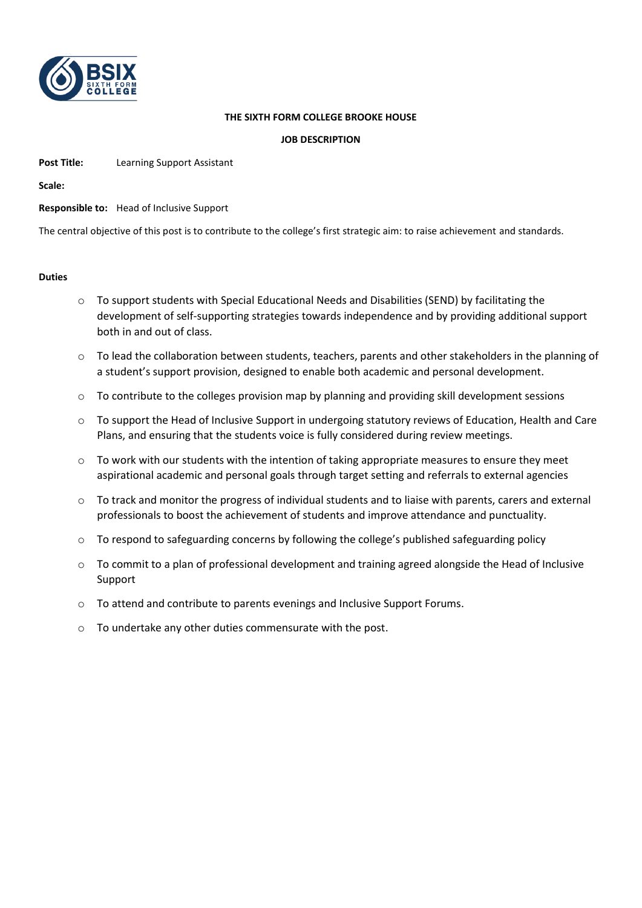

## **THE SIXTH FORM COLLEGE BROOKE HOUSE**

## **JOB DESCRIPTION**

**Post Title:** Learning Support Assistant

**Scale:**

**Responsible to:** Head of Inclusive Support

The central objective of this post is to contribute to the college's first strategic aim: to raise achievement and standards.

## **Duties**

- o To support students with Special Educational Needs and Disabilities (SEND) by facilitating the development of self-supporting strategies towards independence and by providing additional support both in and out of class.
- o To lead the collaboration between students, teachers, parents and other stakeholders in the planning of a student's support provision, designed to enable both academic and personal development.
- $\circ$  To contribute to the colleges provision map by planning and providing skill development sessions
- $\circ$  To support the Head of Inclusive Support in undergoing statutory reviews of Education. Health and Care Plans, and ensuring that the students voice is fully considered during review meetings.
- o To work with our students with the intention of taking appropriate measures to ensure they meet aspirational academic and personal goals through target setting and referrals to external agencies
- o To track and monitor the progress of individual students and to liaise with parents, carers and external professionals to boost the achievement of students and improve attendance and punctuality.
- o To respond to safeguarding concerns by following the college's published safeguarding policy
- $\circ$  To commit to a plan of professional development and training agreed alongside the Head of Inclusive Support
- o To attend and contribute to parents evenings and Inclusive Support Forums.
- o To undertake any other duties commensurate with the post.